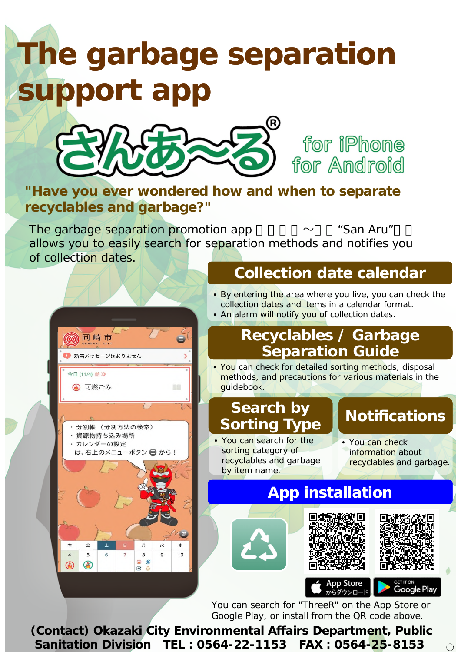## **The garbage separation support app**



for iPhone for Android

**"Have you ever wondered how and when to separate recyclables and garbage?"**

**Collection date calendar** The garbage separation promotion app  $\sim$  "San Aru" allows you to easily search for separation methods and notifies you of collection dates.



You can search for "ThreeR" on the App Store or Google Play, or install from the QR code above.

**(Contact) Okazaki City Environmental Affairs Department, Public Sanitation Division TEL︓0564-22-1153 FAX︓0564-25-8153**